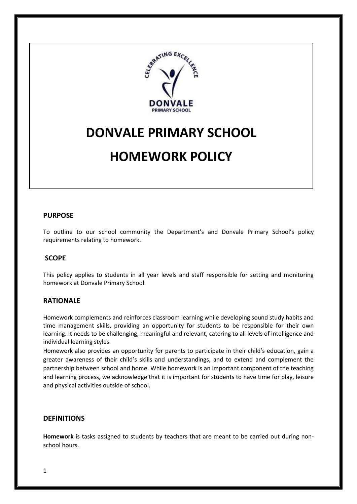

# **DONVALE PRIMARY SCHOOL**

# **HOMEWORK POLICY**

### **PURPOSE**

To outline to our school community the Department's and Donvale Primary School's policy requirements relating to homework.

#### **SCOPE**

This policy applies to students in all year levels and staff responsible for setting and monitoring homework at Donvale Primary School.

#### **RATIONALE**

Homework complements and reinforces classroom learning while developing sound study habits and time management skills, providing an opportunity for students to be responsible for their own learning. It needs to be challenging, meaningful and relevant, catering to all levels of intelligence and individual learning styles.

Homework also provides an opportunity for parents to participate in their child's education, gain a greater awareness of their child's skills and understandings, and to extend and complement the partnership between school and home. While homework is an important component of the teaching and learning process, we acknowledge that it is important for students to have time for play, leisure and physical activities outside of school.

## **DEFINITIONS**

**Homework** is tasks assigned to students by teachers that are meant to be carried out during nonschool hours.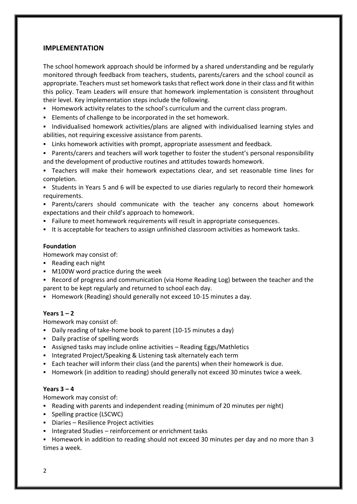### **IMPLEMENTATION**

The school homework approach should be informed by a shared understanding and be regularly monitored through feedback from teachers, students, parents/carers and the school council as appropriate. Teachers must set homework tasks that reflect work done in their class and fit within this policy. Team Leaders will ensure that homework implementation is consistent throughout their level. Key implementation steps include the following.

- **H** Homework activity relates to the school's curriculum and the current class program.
- Elements of challenge to be incorporated in the set homework.
- Individualised homework activities/plans are aligned with individualised learning styles and abilities, not requiring excessive assistance from parents.
- Links homework activities with prompt, appropriate assessment and feedback.
- Parents/carers and teachers will work together to foster the student's personal responsibility and the development of productive routines and attitudes towards homework.

 Teachers will make their homework expectations clear, and set reasonable time lines for completion.

 Students in Years 5 and 6 will be expected to use diaries regularly to record their homework requirements.

 Parents/carers should communicate with the teacher any concerns about homework expectations and their child's approach to homework.

- Failure to meet homework requirements will result in appropriate consequences.
- It is acceptable for teachers to assign unfinished classroom activities as homework tasks.

#### **Foundation**

Homework may consist of:

- Reading each night
- **M100W word practice during the week**
- **Record of progress and communication (via Home Reading Log) between the teacher and the** parent to be kept regularly and returned to school each day.
- **Homework (Reading) should generally not exceed 10-15 minutes a day.**

#### **Years 1 – 2**

Homework may consist of:

- Daily reading of take-home book to parent (10-15 minutes a day)
- Daily practise of spelling words
- Assigned tasks may include online activities Reading Eggs/Mathletics
- **Integrated Project/Speaking & Listening task alternately each term**
- Each teacher will inform their class (and the parents) when their homework is due.
- **Homework (in addition to reading) should generally not exceed 30 minutes twice a week.**

#### **Years 3 – 4**

Homework may consist of:

- Reading with parents and independent reading (minimum of 20 minutes per night)
- Spelling practice (LSCWC)
- Diaries Resilience Project activities
- **Integrated Studies reinforcement or enrichment tasks**

Homework in addition to reading should not exceed 30 minutes per day and no more than 3 times a week.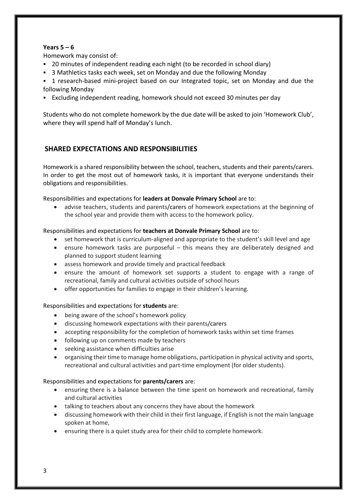## **Years 5 – 6**

Homework may consist of:

- 20 minutes of independent reading each night (to be recorded in school diary)
- 3 Mathletics tasks each week, set on Monday and due the following Monday

 1 research-based mini-project based on our Integrated topic, set on Monday and due the following Monday

Excluding independent reading, homework should not exceed 30 minutes per day

Students who do not complete homework by the due date will be asked to join 'Homework Club', where they will spend half of Monday's lunch.

# **SHARED EXPECTATIONS AND RESPONSIBILITIES**

Homework is a shared responsibility between the school, teachers, students and their parents/carers. In order to get the most out of homework tasks, it is important that everyone understands their obligations and responsibilities.

Responsibilities and expectations for **leaders at Donvale Primary School** are to:

 advise teachers, students and parents/carers of homework expectations at the beginning of the school year and provide them with access to the homework policy.

Responsibilities and expectations for **teachers at Donvale Primary School** are to:

- set homework that is curriculum-aligned and appropriate to the student's skill level and age
- ensure homework tasks are purposeful this means they are deliberately designed and planned to support student learning
- assess homework and provide timely and practical feedback
- ensure the amount of homework set supports a student to engage with a range of recreational, family and cultural activities outside of school hours
- offer opportunities for families to engage in their children's learning.

## Responsibilities and expectations for **students** are:

- being aware of the school's homework policy
- discussing homework expectations with their parents/carers
- accepting responsibility for the completion of homework tasks within set time frames
- following up on comments made by teachers
- seeking assistance when difficulties arise
- organising their time to manage home obligations, participation in physical activity and sports, recreational and cultural activities and part-time employment (for older students).

## Responsibilities and expectations for **parents/carers** are:

- ensuring there is a balance between the time spent on homework and recreational, family and cultural activities
- talking to teachers about any concerns they have about the homework
- discussing homework with their child in their first language, if English is not the main language spoken at home,
- ensuring there is a quiet study area for their child to complete homework.